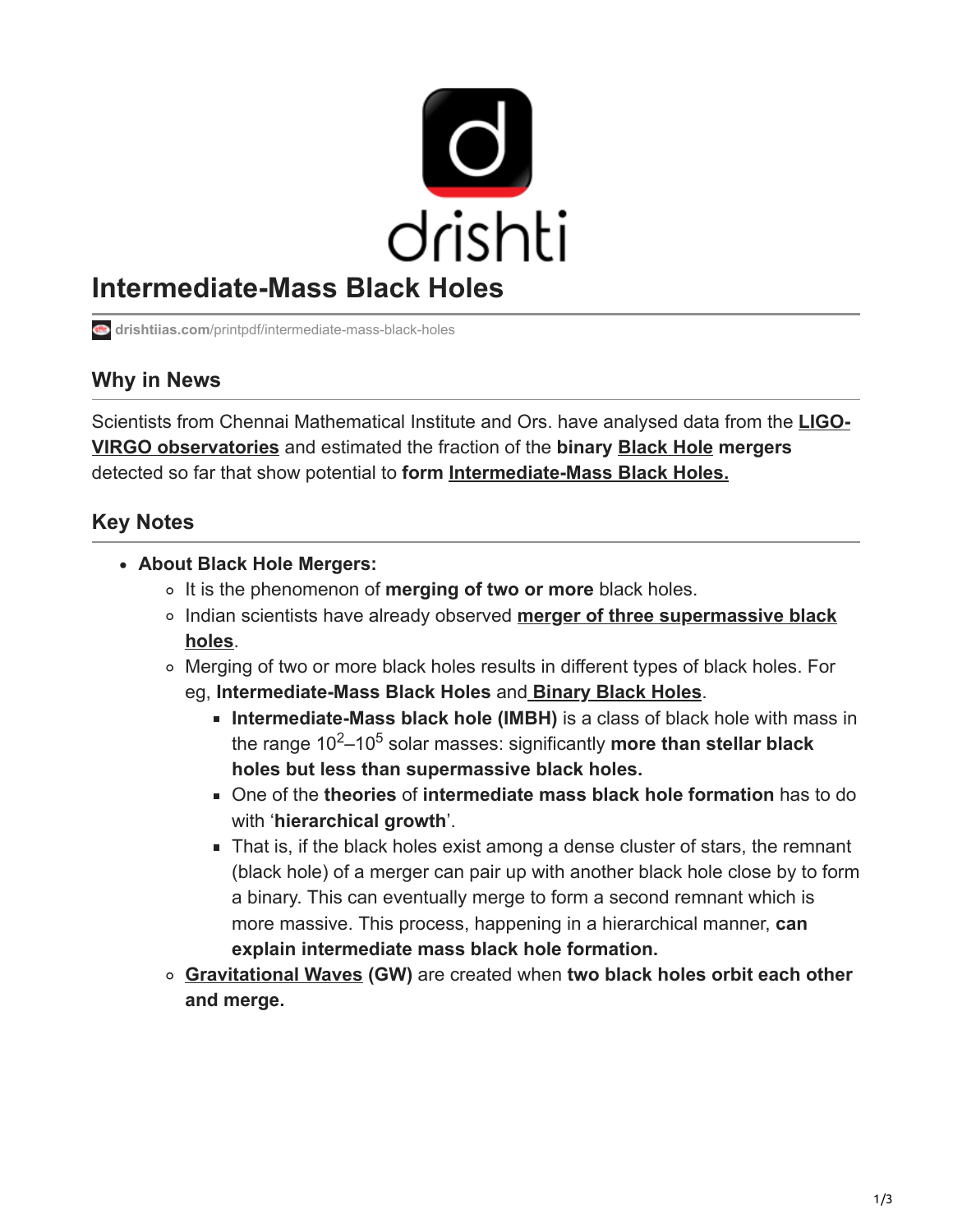

# **Intermediate-Mass Black Holes**

**drishtiias.com**[/printpdf/intermediate-mass-black-holes](https://www.drishtiias.com/printpdf/intermediate-mass-black-holes)

## **Why in News**

[Scientists from Chennai Mathematical Institute and Ors. have analysed data from the](https://www.drishtiias.com/daily-updates/daily-news-analysis/new-source-of-gravitational-waves-discovered) **LIGO-VIRGO observatories** and estimated the fraction of the **binary [Black Hole](https://www.drishtiias.com/daily-updates/daily-news-analysis/moving-black-hole) mergers** detected so far that show potential to **form [Intermediate-Mass Black Holes.](https://www.drishtiias.com/daily-updates/daily-news-analysis/intermediate-mass-black-hole)**

# **Key Notes**

- **About Black Hole Mergers:**
	- o It is the phenomenon of **merging of two or more** black holes.
	- [Indian scientists have already observed](https://www.drishtiias.com/daily-updates/daily-news-analysis/merger-of-three-supermassive-black-holes) **merger of three supermassive black holes**.
	- Merging of two or more black holes results in different types of black holes. For eg, **Intermediate-Mass Black Holes** and **[Binary Black Holes](https://www.drishtiias.com/daily-updates/daily-news-analysis/merger-of-two-black-holes-with-unequal-masses-detected)**.
		- **Intermediate-Mass black hole (IMBH)** is a class of black hole with mass in the range 10<sup>2</sup>–10<sup>5</sup> solar masses: significantly **more than stellar black holes but less than supermassive black holes.**
		- One of the **theories** of **intermediate mass black hole formation** has to do with '**hierarchical growth**'.
		- That is, if the black holes exist among a dense cluster of stars, the remnant (black hole) of a merger can pair up with another black hole close by to form a binary. This can eventually merge to form a second remnant which is more massive. This process, happening in a hierarchical manner, **can explain intermediate mass black hole formation.**
	- **[Gravitational Waves](https://www.drishtiias.com/daily-updates/daily-news-analysis/intermediate-mass-black-hole) (GW)** are created when **two black holes orbit each other and merge.**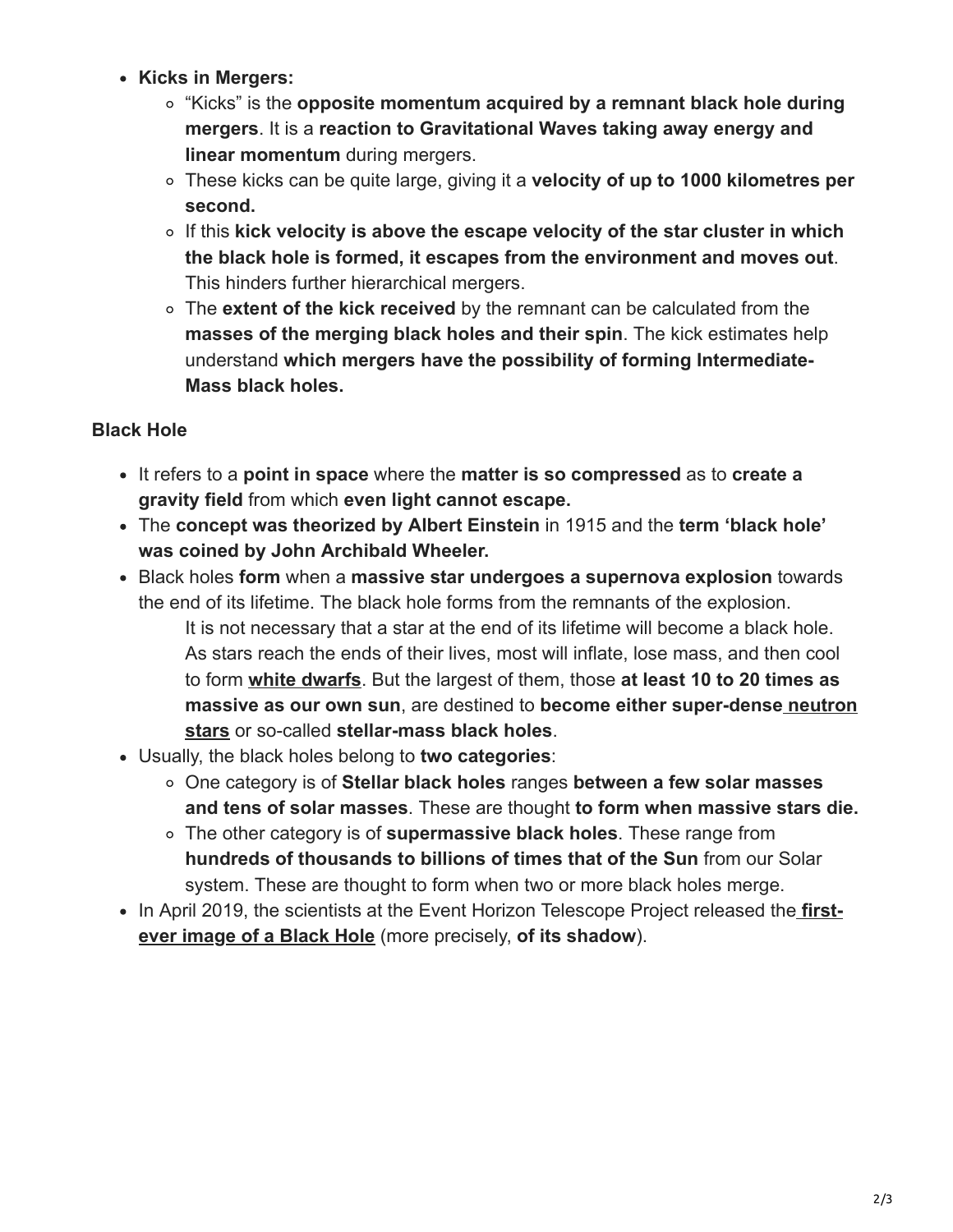- **Kicks in Mergers:**
	- "Kicks" is the **opposite momentum acquired by a remnant black hole during mergers**. It is a **reaction to Gravitational Waves taking away energy and linear momentum** during mergers.
	- These kicks can be quite large, giving it a **velocity of up to 1000 kilometres per second.**
	- If this **kick velocity is above the escape velocity of the star cluster in which the black hole is formed, it escapes from the environment and moves out**. This hinders further hierarchical mergers.
	- The **extent of the kick received** by the remnant can be calculated from the **masses of the merging black holes and their spin**. The kick estimates help understand **which mergers have the possibility of forming Intermediate-Mass black holes.**

### **Black Hole**

- It refers to a **point in space** where the **matter is so compressed** as to **create a gravity field** from which **even light cannot escape.**
- The **concept was theorized by Albert Einstein** in 1915 and the **term 'black hole' was coined by John Archibald Wheeler.**
- Black holes **form** when a **massive star undergoes a supernova explosion** towards the end of its lifetime. The black hole forms from the remnants of the explosion. It is not necessary that a star at the end of its lifetime will become a black hole. As stars reach the ends of their lives, most will inflate, lose mass, and then cool to form **[white dwarfs](https://www.drishtiias.com/daily-updates/daily-news-analysis/white-dwarfs-system)**. But the largest of them, those **at least 10 to 20 times as massive as our own sun**, are destined to **[become either super-dense neutron](https://www.drishtiias.com/daily-updates/daily-news-analysis/new-source-of-gravitational-waves-discovered) stars** or so-called **stellar-mass black holes**.
- Usually, the black holes belong to **two categories**:
	- One category is of **Stellar black holes** ranges **between a few solar masses and tens of solar masses**. These are thought **to form when massive stars die.**
	- The other category is of **supermassive black holes**. These range from **hundreds of thousands to billions of times that of the Sun** from our Solar system. These are thought to form when two or more black holes merge.
- [In April 2019, the scientists at the Event Horizon Telescope Project released the](https://www.drishtiias.com/daily-updates/daily-news-analysis/first-images-of-a-black-hole) first**ever image of a Black Hole** (more precisely, **of its shadow**).